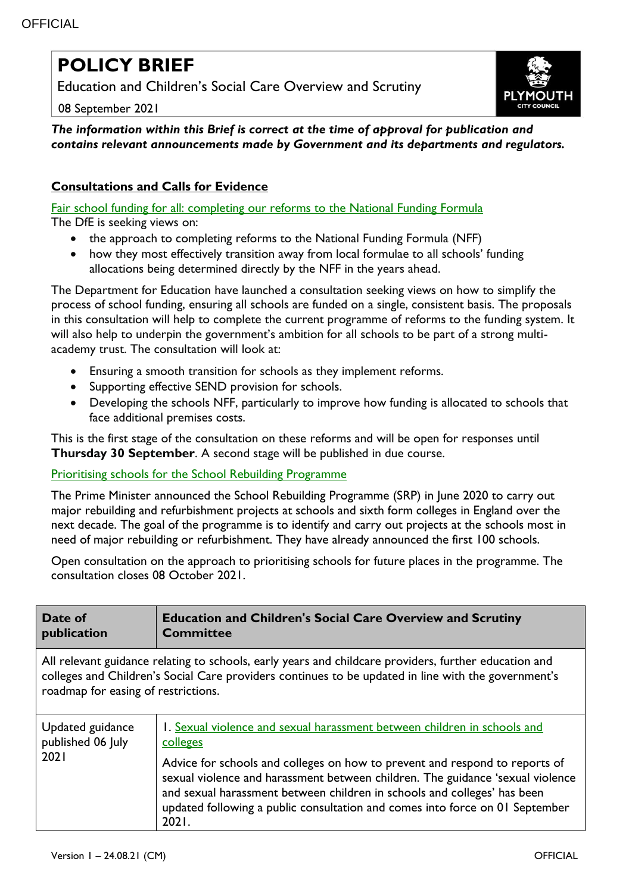## **POLICY BRIEF**

Education and Children's Social Care Overview and Scrutiny

08 September 2021



*The information within this Brief is correct at the time of approval for publication and contains relevant announcements made by Government and its departments and regulators.*

## **Consultations and Calls for Evidence**

[Fair school funding for all: completing our reforms to the National Funding Formula](https://www.gov.uk/government/consultations/fair-school-funding-for-all-completing-our-reforms-to-the-national-funding-formula) The DfE is seeking views on:

- the approach to completing reforms to the National Funding Formula (NFF)
- how they most effectively transition away from local formulae to all schools' funding allocations being determined directly by the NFF in the years ahead.

The Department for Education have launched a consultation seeking views on how to simplify the process of school funding, ensuring all schools are funded on a single, consistent basis. The proposals in this consultation will help to complete the current programme of reforms to the funding system. It will also help to underpin the government's ambition for all schools to be part of a strong multiacademy trust. The consultation will look at:

- Ensuring a smooth transition for schools as they implement reforms.
- Supporting effective SEND provision for schools.
- Developing the schools NFF, particularly to improve how funding is allocated to schools that face additional premises costs.

This is the first stage of the consultation on these reforms and will be open for responses until **Thursday 30 September**. A second stage will be published in due course.

## [Prioritising schools for the School Rebuilding Programme](https://www.gov.uk/government/consultations/prioritising-schools-for-the-school-rebuilding-programme)

The Prime Minister announced the School Rebuilding Programme (SRP) in June 2020 to carry out major rebuilding and refurbishment projects at schools and sixth form colleges in England over the next decade. The goal of the programme is to identify and carry out projects at the schools most in need of major rebuilding or refurbishment. They have already announced the first 100 schools.

Open consultation on the approach to prioritising schools for future places in the programme. The consultation closes 08 October 2021.

| Date of<br>publication                                                                                                                                                                                                                              | <b>Education and Children's Social Care Overview and Scrutiny</b><br><b>Committee</b>                                                                                                                                                                                                                                              |  |
|-----------------------------------------------------------------------------------------------------------------------------------------------------------------------------------------------------------------------------------------------------|------------------------------------------------------------------------------------------------------------------------------------------------------------------------------------------------------------------------------------------------------------------------------------------------------------------------------------|--|
| All relevant guidance relating to schools, early years and childcare providers, further education and<br>colleges and Children's Social Care providers continues to be updated in line with the government's<br>roadmap for easing of restrictions. |                                                                                                                                                                                                                                                                                                                                    |  |
| Updated guidance<br>published 06 July<br>2021                                                                                                                                                                                                       | 1. Sexual violence and sexual harassment between children in schools and<br>colleges                                                                                                                                                                                                                                               |  |
|                                                                                                                                                                                                                                                     | Advice for schools and colleges on how to prevent and respond to reports of<br>sexual violence and harassment between children. The guidance 'sexual violence<br>and sexual harassment between children in schools and colleges' has been<br>updated following a public consultation and comes into force on 01 September<br>2021. |  |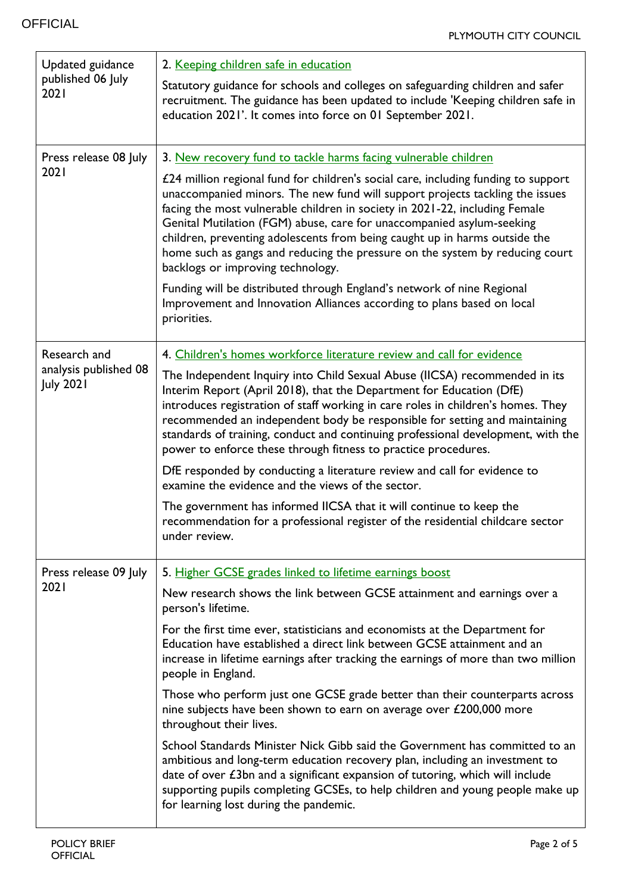| Updated guidance<br>published 06 July<br>2021 | 2. Keeping children safe in education                                                                                                                                                                                                                                                                                                                                                                                                                                                                                         |
|-----------------------------------------------|-------------------------------------------------------------------------------------------------------------------------------------------------------------------------------------------------------------------------------------------------------------------------------------------------------------------------------------------------------------------------------------------------------------------------------------------------------------------------------------------------------------------------------|
|                                               | Statutory guidance for schools and colleges on safeguarding children and safer<br>recruitment. The guidance has been updated to include 'Keeping children safe in<br>education 2021'. It comes into force on 01 September 2021.                                                                                                                                                                                                                                                                                               |
| Press release 08 July<br>2021                 | 3. New recovery fund to tackle harms facing vulnerable children                                                                                                                                                                                                                                                                                                                                                                                                                                                               |
|                                               | £24 million regional fund for children's social care, including funding to support<br>unaccompanied minors. The new fund will support projects tackling the issues<br>facing the most vulnerable children in society in 2021-22, including Female<br>Genital Mutilation (FGM) abuse, care for unaccompanied asylum-seeking<br>children, preventing adolescents from being caught up in harms outside the<br>home such as gangs and reducing the pressure on the system by reducing court<br>backlogs or improving technology. |
|                                               | Funding will be distributed through England's network of nine Regional<br>Improvement and Innovation Alliances according to plans based on local<br>priorities.                                                                                                                                                                                                                                                                                                                                                               |
| Research and                                  | 4. Children's homes workforce literature review and call for evidence                                                                                                                                                                                                                                                                                                                                                                                                                                                         |
| analysis published 08<br><b>July 2021</b>     | The Independent Inquiry into Child Sexual Abuse (IICSA) recommended in its<br>Interim Report (April 2018), that the Department for Education (DfE)<br>introduces registration of staff working in care roles in children's homes. They<br>recommended an independent body be responsible for setting and maintaining<br>standards of training, conduct and continuing professional development, with the<br>power to enforce these through fitness to practice procedures.                                                    |
|                                               | DfE responded by conducting a literature review and call for evidence to<br>examine the evidence and the views of the sector.                                                                                                                                                                                                                                                                                                                                                                                                 |
|                                               | The government has informed IICSA that it will continue to keep the<br>recommendation for a professional register of the residential childcare sector<br>under review.                                                                                                                                                                                                                                                                                                                                                        |
| Press release 09 July                         | 5. Higher GCSE grades linked to lifetime earnings boost                                                                                                                                                                                                                                                                                                                                                                                                                                                                       |
| 2021                                          | New research shows the link between GCSE attainment and earnings over a<br>person's lifetime.                                                                                                                                                                                                                                                                                                                                                                                                                                 |
|                                               | For the first time ever, statisticians and economists at the Department for<br>Education have established a direct link between GCSE attainment and an<br>increase in lifetime earnings after tracking the earnings of more than two million<br>people in England.                                                                                                                                                                                                                                                            |
|                                               | Those who perform just one GCSE grade better than their counterparts across<br>nine subjects have been shown to earn on average over £200,000 more<br>throughout their lives.                                                                                                                                                                                                                                                                                                                                                 |
|                                               | School Standards Minister Nick Gibb said the Government has committed to an<br>ambitious and long-term education recovery plan, including an investment to<br>date of over $\epsilon$ 3bn and a significant expansion of tutoring, which will include<br>supporting pupils completing GCSEs, to help children and young people make up<br>for learning lost during the pandemic.                                                                                                                                              |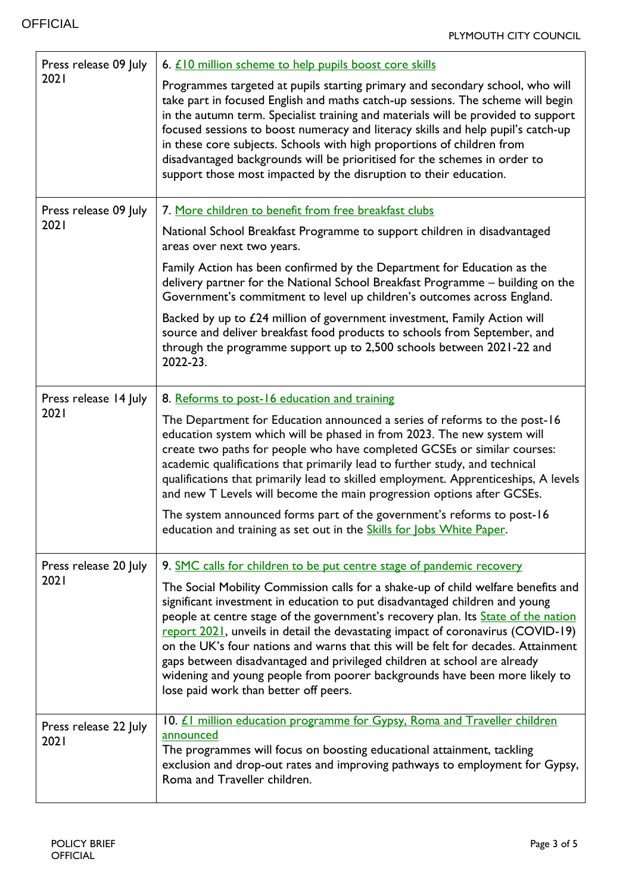$\mathbf{r}$ 

L,

| Press release 09 July<br>2021 | 6. £10 million scheme to help pupils boost core skills                                                                                                                                                                                                                                                                                                                                                                                                                                                                                                                                                                           |
|-------------------------------|----------------------------------------------------------------------------------------------------------------------------------------------------------------------------------------------------------------------------------------------------------------------------------------------------------------------------------------------------------------------------------------------------------------------------------------------------------------------------------------------------------------------------------------------------------------------------------------------------------------------------------|
|                               | Programmes targeted at pupils starting primary and secondary school, who will<br>take part in focused English and maths catch-up sessions. The scheme will begin<br>in the autumn term. Specialist training and materials will be provided to support<br>focused sessions to boost numeracy and literacy skills and help pupil's catch-up<br>in these core subjects. Schools with high proportions of children from<br>disadvantaged backgrounds will be prioritised for the schemes in order to<br>support those most impacted by the disruption to their education.                                                            |
| Press release 09 July         | 7. More children to benefit from free breakfast clubs                                                                                                                                                                                                                                                                                                                                                                                                                                                                                                                                                                            |
| 2021                          | National School Breakfast Programme to support children in disadvantaged<br>areas over next two years.                                                                                                                                                                                                                                                                                                                                                                                                                                                                                                                           |
|                               | Family Action has been confirmed by the Department for Education as the<br>delivery partner for the National School Breakfast Programme - building on the<br>Government's commitment to level up children's outcomes across England.                                                                                                                                                                                                                                                                                                                                                                                             |
|                               | Backed by up to £24 million of government investment, Family Action will<br>source and deliver breakfast food products to schools from September, and<br>through the programme support up to 2,500 schools between 2021-22 and<br>2022-23.                                                                                                                                                                                                                                                                                                                                                                                       |
| Press release 14 July         | 8. Reforms to post-16 education and training                                                                                                                                                                                                                                                                                                                                                                                                                                                                                                                                                                                     |
| 2021                          | The Department for Education announced a series of reforms to the post-16<br>education system which will be phased in from 2023. The new system will<br>create two paths for people who have completed GCSEs or similar courses:<br>academic qualifications that primarily lead to further study, and technical<br>qualifications that primarily lead to skilled employment. Apprenticeships, A levels<br>and new T Levels will become the main progression options after GCSEs.                                                                                                                                                 |
|                               | The system announced forms part of the government's reforms to post-16<br>education and training as set out in the <b>Skills for Jobs White Paper</b> .                                                                                                                                                                                                                                                                                                                                                                                                                                                                          |
| Press release 20 July         | 9. SMC calls for children to be put centre stage of pandemic recovery                                                                                                                                                                                                                                                                                                                                                                                                                                                                                                                                                            |
| 2021                          | The Social Mobility Commission calls for a shake-up of child welfare benefits and<br>significant investment in education to put disadvantaged children and young<br>people at centre stage of the government's recovery plan. Its State of the nation<br>report 2021, unveils in detail the devastating impact of coronavirus (COVID-19)<br>on the UK's four nations and warns that this will be felt for decades. Attainment<br>gaps between disadvantaged and privileged children at school are already<br>widening and young people from poorer backgrounds have been more likely to<br>lose paid work than better off peers. |
| Press release 22 July<br>2021 | 10. <i>LI</i> million education programme for Gypsy, Roma and Traveller children<br>announced<br>The programmes will focus on boosting educational attainment, tackling<br>exclusion and drop-out rates and improving pathways to employment for Gypsy,<br>Roma and Traveller children.                                                                                                                                                                                                                                                                                                                                          |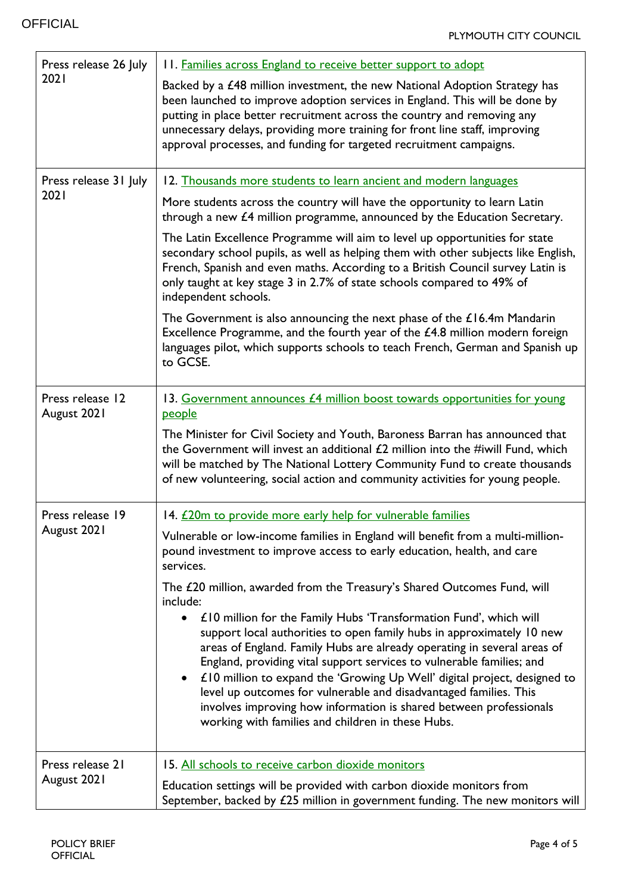'n

| Press release 26 July<br>2021   | 11. Families across England to receive better support to adopt                                                                                                                                                                                                                                                                                                                                                                                                                                                                                                                                       |
|---------------------------------|------------------------------------------------------------------------------------------------------------------------------------------------------------------------------------------------------------------------------------------------------------------------------------------------------------------------------------------------------------------------------------------------------------------------------------------------------------------------------------------------------------------------------------------------------------------------------------------------------|
|                                 | Backed by a £48 million investment, the new National Adoption Strategy has<br>been launched to improve adoption services in England. This will be done by<br>putting in place better recruitment across the country and removing any<br>unnecessary delays, providing more training for front line staff, improving<br>approval processes, and funding for targeted recruitment campaigns.                                                                                                                                                                                                           |
| Press release 31 July           | 12. Thousands more students to learn ancient and modern languages                                                                                                                                                                                                                                                                                                                                                                                                                                                                                                                                    |
| 2021                            | More students across the country will have the opportunity to learn Latin<br>through a new £4 million programme, announced by the Education Secretary.                                                                                                                                                                                                                                                                                                                                                                                                                                               |
|                                 | The Latin Excellence Programme will aim to level up opportunities for state<br>secondary school pupils, as well as helping them with other subjects like English,<br>French, Spanish and even maths. According to a British Council survey Latin is<br>only taught at key stage 3 in 2.7% of state schools compared to 49% of<br>independent schools.                                                                                                                                                                                                                                                |
|                                 | The Government is also announcing the next phase of the $£16.4m$ Mandarin<br>Excellence Programme, and the fourth year of the £4.8 million modern foreign<br>languages pilot, which supports schools to teach French, German and Spanish up<br>to GCSE.                                                                                                                                                                                                                                                                                                                                              |
| Press release 12<br>August 2021 | 13. Government announces £4 million boost towards opportunities for young<br>people                                                                                                                                                                                                                                                                                                                                                                                                                                                                                                                  |
|                                 | The Minister for Civil Society and Youth, Baroness Barran has announced that<br>the Government will invest an additional £2 million into the #iwill Fund, which<br>will be matched by The National Lottery Community Fund to create thousands<br>of new volunteering, social action and community activities for young people.                                                                                                                                                                                                                                                                       |
| Press release 19                | 14. £20m to provide more early help for vulnerable families                                                                                                                                                                                                                                                                                                                                                                                                                                                                                                                                          |
| August 2021                     | Vulnerable or low-income families in England will benefit from a multi-million-<br>pound investment to improve access to early education, health, and care<br>services.                                                                                                                                                                                                                                                                                                                                                                                                                              |
|                                 | The £20 million, awarded from the Treasury's Shared Outcomes Fund, will<br>include:                                                                                                                                                                                                                                                                                                                                                                                                                                                                                                                  |
|                                 | £10 million for the Family Hubs 'Transformation Fund', which will<br>$\bullet$<br>support local authorities to open family hubs in approximately 10 new<br>areas of England. Family Hubs are already operating in several areas of<br>England, providing vital support services to vulnerable families; and<br>£10 million to expand the 'Growing Up Well' digital project, designed to<br>$\bullet$<br>level up outcomes for vulnerable and disadvantaged families. This<br>involves improving how information is shared between professionals<br>working with families and children in these Hubs. |
| Press release 21<br>August 2021 | 15. All schools to receive carbon dioxide monitors                                                                                                                                                                                                                                                                                                                                                                                                                                                                                                                                                   |
|                                 | Education settings will be provided with carbon dioxide monitors from<br>September, backed by $E25$ million in government funding. The new monitors will                                                                                                                                                                                                                                                                                                                                                                                                                                             |